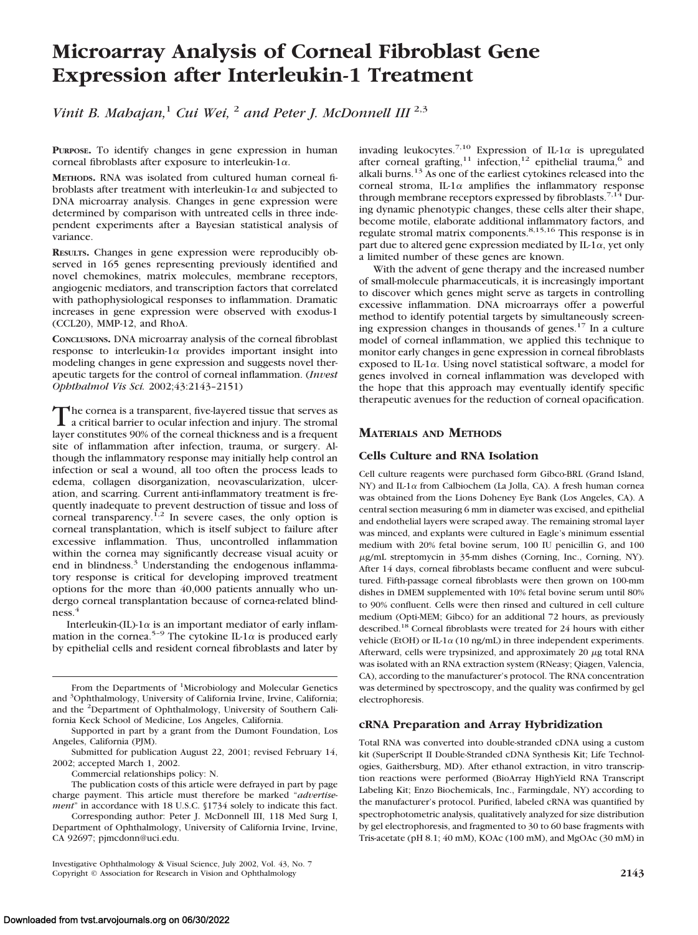# **Microarray Analysis of Corneal Fibroblast Gene Expression after Interleukin-1 Treatment**

*Vinit B. Mahajan,*<sup>1</sup> *Cui Wei,* <sup>2</sup> *and Peter J. McDonnell III* 2,3

**PURPOSE.** To identify changes in gene expression in human corneal fibroblasts after exposure to interleukin- $1\alpha$ .

**METHODS.** RNA was isolated from cultured human corneal fibroblasts after treatment with interleukin-1 $\alpha$  and subjected to DNA microarray analysis. Changes in gene expression were determined by comparison with untreated cells in three independent experiments after a Bayesian statistical analysis of variance.

**RESULTS.** Changes in gene expression were reproducibly observed in 165 genes representing previously identified and novel chemokines, matrix molecules, membrane receptors, angiogenic mediators, and transcription factors that correlated with pathophysiological responses to inflammation. Dramatic increases in gene expression were observed with exodus-1 (CCL20), MMP-12, and RhoA.

**CONCLUSIONS.** DNA microarray analysis of the corneal fibroblast response to interleukin-1 $\alpha$  provides important insight into modeling changes in gene expression and suggests novel therapeutic targets for the control of corneal inflammation. (*Invest Ophthalmol Vis Sci.* 2002;43:2143–2151)

The cornea is a transparent, five-layered tissue that serves as<br>a critical barrier to ocular infection and injury. The stromal<br>layer appealing 2006 of the aggregated integrated in feature layer constitutes 90% of the corneal thickness and is a frequent site of inflammation after infection, trauma, or surgery. Although the inflammatory response may initially help control an infection or seal a wound, all too often the process leads to edema, collagen disorganization, neovascularization, ulceration, and scarring. Current anti-inflammatory treatment is frequently inadequate to prevent destruction of tissue and loss of corneal transparency.<sup>1,2</sup> In severe cases, the only option is corneal transplantation, which is itself subject to failure after excessive inflammation. Thus, uncontrolled inflammation within the cornea may significantly decrease visual acuity or end in blindness.<sup>3</sup> Understanding the endogenous inflammatory response is critical for developing improved treatment options for the more than 40,000 patients annually who undergo corneal transplantation because of cornea-related blindness.<sup>4</sup>

Interleukin-(IL)-1 $\alpha$  is an important mediator of early inflammation in the cornea.<sup>5-9</sup> The cytokine IL-1 $\alpha$  is produced early by epithelial cells and resident corneal fibroblasts and later by

From the Departments of <sup>1</sup>Microbiology and Molecular Genetics and <sup>3</sup>Ophthalmology, University of California Irvine, Irvine, California; and the <sup>2</sup> Department of Ophthalmology, University of Southern California Keck School of Medicine, Los Angeles, California.

invading leukocytes.<sup>7,10</sup> Expression of IL-1 $\alpha$  is upregulated after corneal grafting,<sup>11</sup> infection,<sup>12</sup> epithelial trauma,<sup>6</sup> and alkali burns.13 As one of the earliest cytokines released into the corneal stroma, IL-1 $\alpha$  amplifies the inflammatory response through membrane receptors expressed by fibroblasts.<sup>7,14</sup> During dynamic phenotypic changes, these cells alter their shape, become motile, elaborate additional inflammatory factors, and regulate stromal matrix components.8,15,16 This response is in part due to altered gene expression mediated by IL-1 $\alpha$ , yet only a limited number of these genes are known.

With the advent of gene therapy and the increased number of small-molecule pharmaceuticals, it is increasingly important to discover which genes might serve as targets in controlling excessive inflammation. DNA microarrays offer a powerful method to identify potential targets by simultaneously screening expression changes in thousands of genes.17 In a culture model of corneal inflammation, we applied this technique to monitor early changes in gene expression in corneal fibroblasts exposed to IL-1 $\alpha$ . Using novel statistical software, a model for genes involved in corneal inflammation was developed with the hope that this approach may eventually identify specific therapeutic avenues for the reduction of corneal opacification.

## **MATERIALS AND METHODS**

## **Cells Culture and RNA Isolation**

Cell culture reagents were purchased form Gibco-BRL (Grand Island, NY) and IL-1 $\alpha$  from Calbiochem (La Jolla, CA). A fresh human cornea was obtained from the Lions Doheney Eye Bank (Los Angeles, CA). A central section measuring 6 mm in diameter was excised, and epithelial and endothelial layers were scraped away. The remaining stromal layer was minced, and explants were cultured in Eagle's minimum essential medium with 20% fetal bovine serum, 100 IU penicillin G, and 100 µg/mL streptomycin in 35-mm dishes (Corning, Inc., Corning, NY). After 14 days, corneal fibroblasts became confluent and were subcultured. Fifth-passage corneal fibroblasts were then grown on 100-mm dishes in DMEM supplemented with 10% fetal bovine serum until 80% to 90% confluent. Cells were then rinsed and cultured in cell culture medium (Opti-MEM; Gibco) for an additional 72 hours, as previously described.18 Corneal fibroblasts were treated for 24 hours with either vehicle (EtOH) or IL-1 $\alpha$  (10 ng/mL) in three independent experiments. Afterward, cells were trypsinized, and approximately  $20 \mu$ g total RNA was isolated with an RNA extraction system (RNeasy; Qiagen, Valencia, CA), according to the manufacturer's protocol. The RNA concentration was determined by spectroscopy, and the quality was confirmed by gel electrophoresis.

## **cRNA Preparation and Array Hybridization**

Total RNA was converted into double-stranded cDNA using a custom kit (SuperScript II Double-Stranded cDNA Synthesis Kit; Life Technologies, Gaithersburg, MD). After ethanol extraction, in vitro transcription reactions were performed (BioArray HighYield RNA Transcript Labeling Kit; Enzo Biochemicals, Inc., Farmingdale, NY) according to the manufacturer's protocol. Purified, labeled cRNA was quantified by spectrophotometric analysis, qualitatively analyzed for size distribution by gel electrophoresis, and fragmented to 30 to 60 base fragments with Tris-acetate (pH 8.1; 40 mM), KOAc (100 mM), and MgOAc (30 mM) in

Supported in part by a grant from the Dumont Foundation, Los Angeles, California (PJM).

Submitted for publication August 22, 2001; revised February 14, 2002; accepted March 1, 2002.

Commercial relationships policy: N.

The publication costs of this article were defrayed in part by page charge payment. This article must therefore be marked "*advertisement*" in accordance with 18 U.S.C. §1734 solely to indicate this fact.

Corresponding author: Peter J. McDonnell III, 118 Med Surg I, Department of Ophthalmology, University of California Irvine, Irvine, CA 92697; pjmcdonn@uci.edu.

Investigative Ophthalmology & Visual Science, July 2002, Vol. 43, No. 7 Copyright © Association for Research in Vision and Ophthalmology **2143**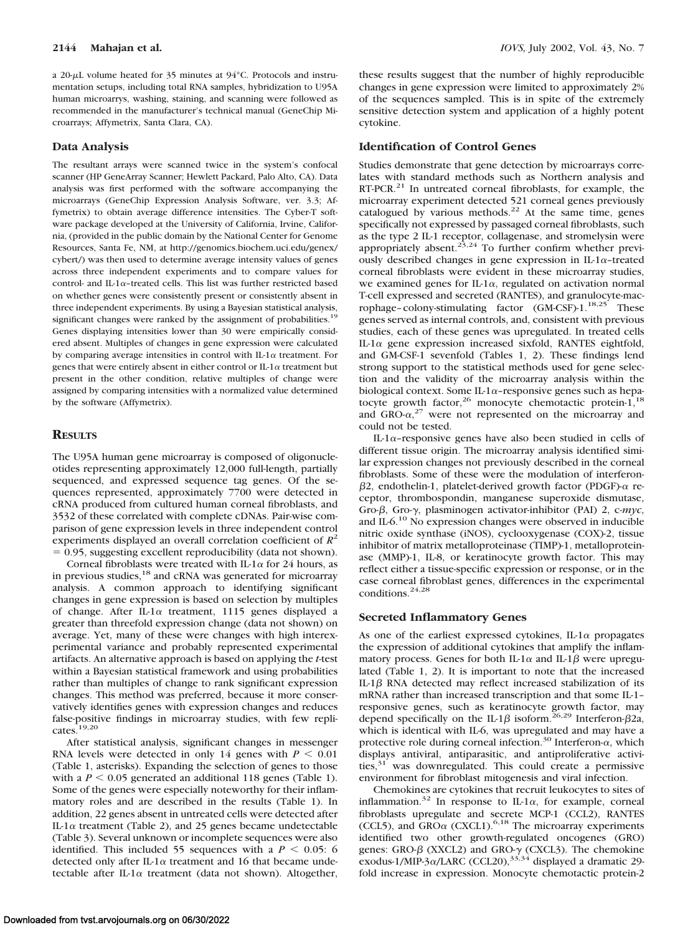a 20- $\mu$ L volume heated for 35 minutes at 94 $\degree$ C. Protocols and instrumentation setups, including total RNA samples, hybridization to U95A human microarrys, washing, staining, and scanning were followed as recommended in the manufacturer's technical manual (GeneChip Microarrays; Affymetrix, Santa Clara, CA).

## **Data Analysis**

The resultant arrays were scanned twice in the system's confocal scanner (HP GeneArray Scanner; Hewlett Packard, Palo Alto, CA). Data analysis was first performed with the software accompanying the microarrays (GeneChip Expression Analysis Software, ver. 3.3; Affymetrix) to obtain average difference intensities. The Cyber-T software package developed at the University of California, Irvine, California, (provided in the public domain by the National Center for Genome Resources, Santa Fe, NM, at http://genomics.biochem.uci.edu/genex/ cybert/) was then used to determine average intensity values of genes across three independent experiments and to compare values for control- and IL-1 $\alpha$ -treated cells. This list was further restricted based on whether genes were consistently present or consistently absent in three independent experiments. By using a Bayesian statistical analysis, significant changes were ranked by the assignment of probabilities.<sup>19</sup> Genes displaying intensities lower than 30 were empirically considered absent. Multiples of changes in gene expression were calculated by comparing average intensities in control with IL-1 $\alpha$  treatment. For genes that were entirely absent in either control or IL-1 $\alpha$  treatment but present in the other condition, relative multiples of change were assigned by comparing intensities with a normalized value determined by the software (Affymetrix).

#### **RESULTS**

The U95A human gene microarray is composed of oligonucleotides representing approximately 12,000 full-length, partially sequenced, and expressed sequence tag genes. Of the sequences represented, approximately 7700 were detected in cRNA produced from cultured human corneal fibroblasts, and 3532 of these correlated with complete cDNAs. Pair-wise comparison of gene expression levels in three independent control experiments displayed an overall correlation coefficient of *R*<sup>2</sup> 0.95, suggesting excellent reproducibility (data not shown).

Corneal fibroblasts were treated with IL-1 $\alpha$  for 24 hours, as in previous studies,<sup>18</sup> and cRNA was generated for microarray analysis. A common approach to identifying significant changes in gene expression is based on selection by multiples of change. After IL-1 $\alpha$  treatment, 1115 genes displayed a greater than threefold expression change (data not shown) on average. Yet, many of these were changes with high interexperimental variance and probably represented experimental artifacts. An alternative approach is based on applying the *t*-test within a Bayesian statistical framework and using probabilities rather than multiples of change to rank significant expression changes. This method was preferred, because it more conservatively identifies genes with expression changes and reduces false-positive findings in microarray studies, with few replicates.19,20

After statistical analysis, significant changes in messenger RNA levels were detected in only 14 genes with  $P < 0.01$ (Table 1, asterisks). Expanding the selection of genes to those with a  $P < 0.05$  generated an additional 118 genes (Table 1). Some of the genes were especially noteworthy for their inflammatory roles and are described in the results (Table 1). In addition, 22 genes absent in untreated cells were detected after IL-1 $\alpha$  treatment (Table 2), and 25 genes became undetectable (Table 3). Several unknown or incomplete sequences were also identified. This included 55 sequences with a  $P < 0.05$ : 6 detected only after IL-1 $\alpha$  treatment and 16 that became undetectable after IL-1 $\alpha$  treatment (data not shown). Altogether, these results suggest that the number of highly reproducible changes in gene expression were limited to approximately 2% of the sequences sampled. This is in spite of the extremely sensitive detection system and application of a highly potent cytokine.

#### **Identification of Control Genes**

Studies demonstrate that gene detection by microarrays correlates with standard methods such as Northern analysis and RT-PCR.<sup>21</sup> In untreated corneal fibroblasts, for example, the microarray experiment detected 521 corneal genes previously catalogued by various methods.<sup>22</sup> At the same time, genes specifically not expressed by passaged corneal fibroblasts, such as the type 2 IL-1 receptor, collagenase, and stromelysin were appropriately absent.<sup>23,24</sup> To further confirm whether previously described changes in gene expression in IL-1 $\alpha$ -treated corneal fibroblasts were evident in these microarray studies, we examined genes for IL-1 $\alpha$ , regulated on activation normal T-cell expressed and secreted (RANTES), and granulocyte-macrophage-colony-stimulating factor (GM-CSF)-1.<sup>18,25</sup> These genes served as internal controls, and, consistent with previous studies, each of these genes was upregulated. In treated cells IL-1 $\alpha$  gene expression increased sixfold, RANTES eightfold, and GM-CSF-1 sevenfold (Tables 1, 2). These findings lend strong support to the statistical methods used for gene selection and the validity of the microarray analysis within the biological context. Some IL-1 $\alpha$ -responsive genes such as hepatocyte growth factor,<sup>26</sup> monocyte chemotactic protein- $1,^{18}$ and  $GRO- $\alpha$ ,<sup>27</sup> were not represented on the microarray and$ could not be tested.

IL-1 $\alpha$ -responsive genes have also been studied in cells of different tissue origin. The microarray analysis identified similar expression changes not previously described in the corneal fibroblasts. Some of these were the modulation of interferon-  $\beta$ 2, endothelin-1, platelet-derived growth factor (PDGF)- $\alpha$  receptor, thrombospondin, manganese superoxide dismutase, Gro- $\beta$ , Gro- $\gamma$ , plasminogen activator-inhibitor (PAI) 2, c-myc, and IL-6.10 No expression changes were observed in inducible nitric oxide synthase (iNOS), cyclooxygenase (COX)-2, tissue inhibitor of matrix metalloproteinase (TIMP)-1, metalloproteinase (MMP)-1, IL-8, or keratinocyte growth factor. This may reflect either a tissue-specific expression or response, or in the case corneal fibroblast genes, differences in the experimental conditions.24,28

#### **Secreted Inflammatory Genes**

As one of the earliest expressed cytokines, IL-1 $\alpha$  propagates the expression of additional cytokines that amplify the inflammatory process. Genes for both IL-1 $\alpha$  and IL-1 $\beta$  were upregulated (Table 1, 2). It is important to note that the increased IL-1 $\beta$  RNA detected may reflect increased stabilization of its mRNA rather than increased transcription and that some IL-1– responsive genes, such as keratinocyte growth factor, may depend specifically on the IL-1 $\beta$  isoform.<sup>26,29</sup> Interferon- $\beta$ 2a, which is identical with IL-6, was upregulated and may have a protective role during corneal infection.<sup>30</sup> Interferon- $\alpha$ , which displays antiviral, antiparasitic, and antiproliferative activities, $31$  was downregulated. This could create a permissive environment for fibroblast mitogenesis and viral infection.

Chemokines are cytokines that recruit leukocytes to sites of inflammation.<sup>32</sup> In response to IL-1 $\alpha$ , for example, corneal fibroblasts upregulate and secrete MCP-1 (CCL2), RANTES (CCL5), and  $GRO\alpha$  (CXCL1).<sup>6,18</sup> The microarray experiments identified two other growth-regulated oncogenes (GRO) genes: GRO- $\beta$  (XXCL2) and GRO- $\gamma$  (CXCL3). The chemokine exodus-1/MIP-3 $\alpha$ /LARC (CCL20),<sup>33,34</sup> displayed a dramatic 29fold increase in expression. Monocyte chemotactic protein-2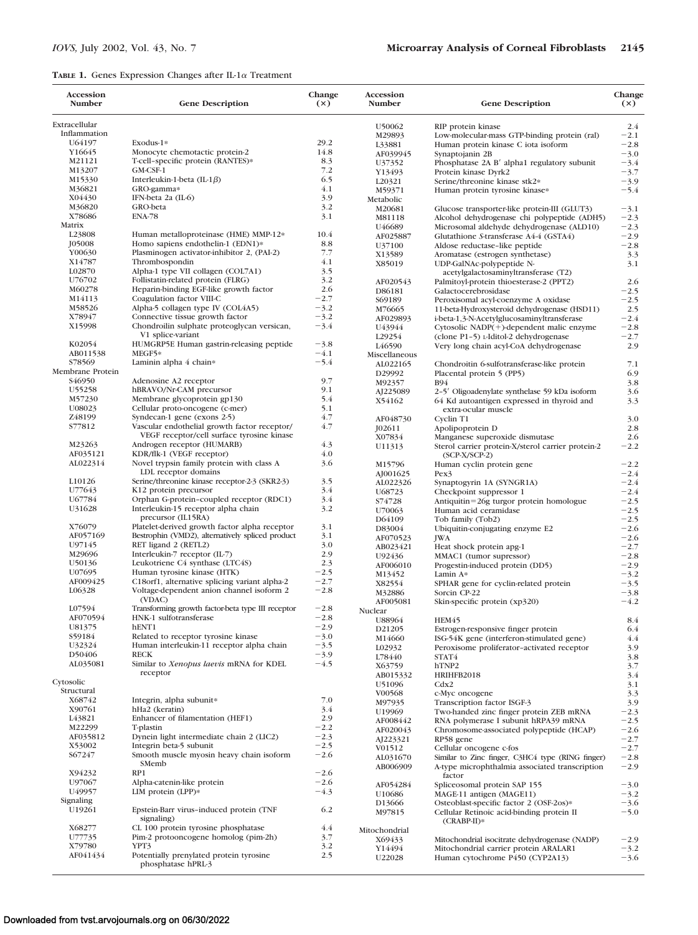## **TABLE 1.** Genes Expression Changes after IL-1 $\alpha$  Treatment

| Accession<br><b>Number</b> | <b>Gene Description</b>                                       | Change<br>(x) | Accession<br><b>Number</b> | <b>Gene Description</b>                           | Change<br>(x) |
|----------------------------|---------------------------------------------------------------|---------------|----------------------------|---------------------------------------------------|---------------|
| Extracellular              |                                                               |               | U50062                     | RIP protein kinase                                | 2.4           |
| Inflammation               |                                                               |               | M29893                     | Low-molecular-mass GTP-binding protein (ral)      | $-2.1$        |
| U64197                     | Exodus-1*                                                     | 29.2          | L33881                     | Human protein kinase C iota isoform               | $-2.8$        |
| Y16645                     | Monocyte chemotactic protein-2                                | 14.8          | AF039945                   | Synaptojanin 2B                                   | $-3.0$        |
| M21121                     | T-cell-specific protein (RANTES)*                             | 8.3           | U37352                     | Phosphatase 2A B' alpha1 regulatory subunit       | $-3.4$        |
| M13207                     | GM-CSF-1                                                      | 7.2           | Y13493                     | Protein kinase Dyrk2                              | $-3.7$        |
| M15330                     | Interleukin-1-beta (IL-1 $\beta$ )                            | 6.5           | L20321                     | Serine/threonine kinase stk2*                     | $-3.9$        |
| M36821                     | GRO-gamma*                                                    | 4.1           | M59371                     | Human protein tyrosine kinase*                    | $-5.4$        |
| X04430                     | IFN-beta 2a (IL-6)                                            | 3.9           | Metabolic                  |                                                   |               |
| M36820                     | GRO-beta                                                      | 3.2           | M20681                     | Glucose transporter-like protein-III (GLUT3)      | $-3.1$        |
| X78686                     | <b>ENA-78</b>                                                 | 3.1           | M81118                     | Alcohol dehydrogenase chi polypeptide (ADH5)      | $-2.3$        |
| Matrix                     |                                                               |               | U46689                     | Microsomal aldehyde dehydrogenase (ALD10)         | $-2.3$        |
| L23808                     | Human metalloproteinase (HME) MMP-12*                         | 10.4          | AF025887                   | Glutathione S-transferase A4-4 (GSTA4)            | $-2.9$        |
| J05008                     | Homo sapiens endothelin-1 (EDN1)*                             | 8.8           | U37100                     | Aldose reductase-like peptide                     | $-2.8$        |
| Y00630                     | Plasminogen activator-inhibitor 2, (PAI-2)                    | 7.7           | X13589                     | Aromatase (estrogen synthetase)                   | 3.3           |
| X14787                     | Thrombospondin                                                | 4.1           | X85019                     | UDP-GalNAc-polypeptide N-                         | 3.1           |
| L02870                     | Alpha-1 type VII collagen (COL7A1)                            | 3.5           |                            | acetylgalactosaminyltransferase (T2)              |               |
| U76702                     | Follistatin-related protein (FLRG)                            | 3.2           | AF020543                   | Palmitoyl-protein thioesterase-2 (PPT2)           | 2.6           |
| M60278                     | Heparin-binding EGF-like growth factor                        | 2.6           | D86181                     | Galactocerebrosidase                              | $-2.5$        |
| M14113                     | Coagulation factor VIII-C                                     | $-2.7$        | S69189                     | Peroxisomal acyl-coenzyme A oxidase               | $-2.5$        |
| M58526                     | Alpha-5 collagen type IV (COL4A5)                             | $-3.2$        | M76665                     | 11-beta-Hydroxysteroid dehydrogenase (HSD11)      | 2.5           |
| X78947                     | Connective tissue growth factor                               | $-3.2$        | AF029893                   | i-beta-1,3-N-Acetylglucosaminyltransferase        | $-2.4$        |
| X15998                     | Chondroilin sulphate proteoglycan versican,                   | $-3.4$        | U43944                     | Cytosolic NADP(+)-dependent malic enzyme          | $-2.8$        |
|                            | V1 splice-variant                                             |               | L29254                     | (clone P1-5) L-Iditol-2 dehydrogenase             | $-2.7$        |
| K02054                     | HUMGRP5E Human gastrin-releasing peptide                      | $-3.8$        | L <sub>46590</sub>         | Very long chain acyl-CoA dehydrogenase            | 2.9           |
| AB011538                   | MEGF5*                                                        | $-4.1$        | Miscellaneous              |                                                   |               |
| S78569                     | Laminin alpha 4 chain*                                        | $-5.4$        | AL022165                   | Chondroitin 6-sulfotransferase-like protein       | 7.1           |
| Membrane Protein           |                                                               |               | D29992                     | Placental protein 5 (PP5)                         | 6.9           |
| S <sub>46950</sub>         | Adenosine A2 receptor                                         | 9.7           | M92357                     | <b>B94</b>                                        | 3.8           |
| U55258                     | hBRAVO/Nr-CAM precursor                                       | 9.1           | AJ225089                   | 2-5' Oligoadenylate synthelase 59 kDa isoform     | 3.6           |
| M57230                     | Membrane glycoprotein gp130                                   | 5.4           | X54162                     | 64 Kd autoantigen expressed in thyroid and        | 3.3           |
| U08023                     | Cellular proto-oncogene (c-mer)                               | 5.1           |                            | extra-ocular muscle                               |               |
| Z48199                     | Syndecan-1 gene (exons 2-5)                                   | 4.7           | AF048730                   | Cyclin T1                                         | 3.0           |
| \$77812                    | Vascular endothelial growth factor receptor/                  | 4.7           | J02611                     | Apolipoprotein D                                  | 2.8           |
|                            | VEGF receptor/cell surface tyrosine kinase                    |               | X07834                     | Manganese superoxide dismutase                    | 2.6           |
| M23263                     | Androgen receptor (HUMARB)                                    | 4.3           | U11313                     | Sterol carrier protein-X/sterol carrier protein-2 | $-2.2$        |
| AF035121                   | KDR/flk-1 (VEGF receptor)                                     | 4.0           |                            | $(SCP-X/SCP-2)$                                   |               |
| AL022314                   | Novel trypsin family protein with class A                     | 3.6           | M15796                     | Human cyclin protein gene                         | $-2.2$        |
|                            | LDL receptor domains                                          |               | AJ001625                   | Pex3                                              | $-2.4$        |
| L10126                     | Serine/threonine kinase receptor-2-3 (SKR2-3)                 | 3.5           | AL022326                   | Synaptogyrin 1A (SYNGR1A)                         | $-2.4$        |
| U77643                     | K12 protein precursor                                         | 3.4           | U68723                     | Checkpoint suppressor 1                           | $-2.4$        |
| U67784                     | Orphan G-protein-coupled receptor (RDC1)                      | 3.4           | S74728                     | Antiquitin=26g turgor protein homologue           | $-2.5$        |
| U31628                     | Interleukin-15 receptor alpha chain                           | 3.2           | U70063                     | Human acid ceramidase                             | $-2.5$        |
|                            | precursor (IL15RA)                                            |               | D64109                     | Tob family (Tob2)                                 | $-2.5$        |
| X76079                     | Platelet-derived growth factor alpha receptor                 | 3.1           | D83004                     | Ubiquitin-conjugating enzyme E2                   | $-2.6$        |
| AF057169                   | Bestrophin (VMD2), alternatively spliced product              | 3.1           | AF070523                   | <b>JWA</b>                                        | $-2.6$        |
| U97145                     | RET ligand 2 (RETL2)                                          | 3.0           | AB023421                   | Heat shock protein apg-1                          | $-2.7$        |
| M29696                     | Interleukin-7 receptor (IL-7)                                 | 2.9           | U92436                     | MMAC1 (tumor supressor)                           | $-2.8$        |
| U50136                     | Leukotriene C4 synthase (LTC4S)                               | 2.3           | AF006010                   | Progestin-induced protein (DD5)                   | $-2.9$        |
| U07695                     | Human tyrosine kinase (HTK)                                   | $-2.5$        | M13452                     | Lamin A*                                          | $-3.2$        |
| AF009425                   | C18orf1, alternative splicing variant alpha-2                 | $-2.7$        |                            | SPHAR gene for cyclin-related protein             |               |
| L06328                     | Voltage-dependent anion channel isoform 2                     | $-2.8$        | X82554                     |                                                   | $-3.5$        |
|                            | (VDAC)                                                        |               | M32886                     | Sorcin CP-22                                      | $-3.8$        |
| L07594                     | Transforming growth factor-beta type III receptor             | $-2.8$        | AF005081                   | Skin-specific protein (xp320)                     | $-4.2$        |
| AF070594                   | HNK-1 sulfotransferase                                        | $-2.8$        | Nuclear                    |                                                   |               |
| U81375                     | hENT1                                                         | $-2.9$        | U88964                     | HEM45                                             | 8.4           |
| S59184                     | Related to receptor tyrosine kinase                           | $-3.0$        | D21205                     | Estrogen-responsive finger protein                | 6.4           |
| U32324                     | Human interleukin-11 receptor alpha chain                     | $-3.5$        | M14660                     | ISG-54K gene (interferon-stimulated gene)         | 4.4           |
| D50406                     | <b>RECK</b>                                                   | $-3.9$        | L02932                     | Peroxisome proliferator-activated receptor        | 3.9           |
| AL035081                   | Similar to Xenopus laevis mRNA for KDEL                       | $-4.5$        | L78440                     | STAT4                                             | 3.8           |
|                            | receptor                                                      |               | X63759                     | hTNP2                                             | 3.7           |
| Cytosolic                  |                                                               |               | AB015332                   | HRIHFB2018                                        | 3.4           |
| Structural                 |                                                               |               | U51096                     | Cdx2                                              | 3.1           |
| X68742                     | Integrin, alpha subunit*                                      | 7.0           | V00568                     | c-Myc oncogene                                    | 3.3           |
| X90761                     | hHa2 (keratin)                                                | 3.4           | M97935                     | Transcription factor ISGF-3                       | 3.9           |
|                            |                                                               |               | U19969                     | Two-handed zinc finger protein ZEB mRNA           | $-2.3$        |
| L43821                     | Enhancer of filamentation (HEF1)                              | 2.9           | AF008442                   | RNA polymerase I subunit hRPA39 mRNA              | $-2.5$        |
| M22299<br>AF035812         | T-plastin                                                     | $-2.2$        | AF020043                   | Chromosome-associated polypeptide (HCAP)          | $-2.6$        |
|                            | Dynein light intermediate chain 2 (LIC2)                      | $-2.3$        | AJ223321                   | RP58 gene                                         | $-2.7$        |
| X53002                     | Integrin beta-5 subunit                                       | $-2.5$        | V01512                     | Cellular oncogene c-fos                           | $-2.7$        |
| S67247                     | Smooth muscle myosin heavy chain isoform                      | $-2.6$        | AL031670                   | Similar to Zinc finger, C3HC4 type (RING finger)  | $-2.8$        |
|                            | SMemb                                                         |               | AB006909                   | A-type microphthalmia associated transcription    | $-2.9$        |
| X94232                     | RP1                                                           | $-2.6$        |                            | factor                                            |               |
| U97067                     | Alpha-catenin-like protein                                    | $-2.6$        | AF054284                   | Spliceosomal protein SAP 155                      | $-3.0$        |
| U49957                     | LIM protein (LPP)*                                            | $-4.3$        | U <sub>10686</sub>         | MAGE-11 antigen (MAGE11)                          | $-3.2$        |
| Signaling                  |                                                               |               | D <sub>1</sub> 3666        | Osteoblast-specific factor 2 (OSF-2os)*           | $-3.6$        |
| U19261                     | Epstein-Barr virus-induced protein (TNF                       | 6.2           | M97815                     | Cellular Retinoic acid-binding protein II         | $-5.0$        |
|                            | signaling)                                                    |               |                            | (CRABP-II)*                                       |               |
| X68277                     | CL 100 protein tyrosine phosphatase                           | 4.4           | Mitochondrial              |                                                   |               |
| U77735                     | Pim-2 protooncogene homolog (pim-2h)                          | 3.7           | X69433                     | Mitochondrial isocitrate dehydrogenase (NADP)     | $-2.9$        |
| X79780                     | YPT3                                                          | 3.2           | Y14494                     | Mitochondrial carrier protein ARALAR1             | $-3.2$        |
| AF041434                   | Potentially prenylated protein tyrosine<br>phosphatase hPRL-3 | 2.5           | U22028                     | Human cytochrome P450 (CYP2A13)                   | $-3.6$        |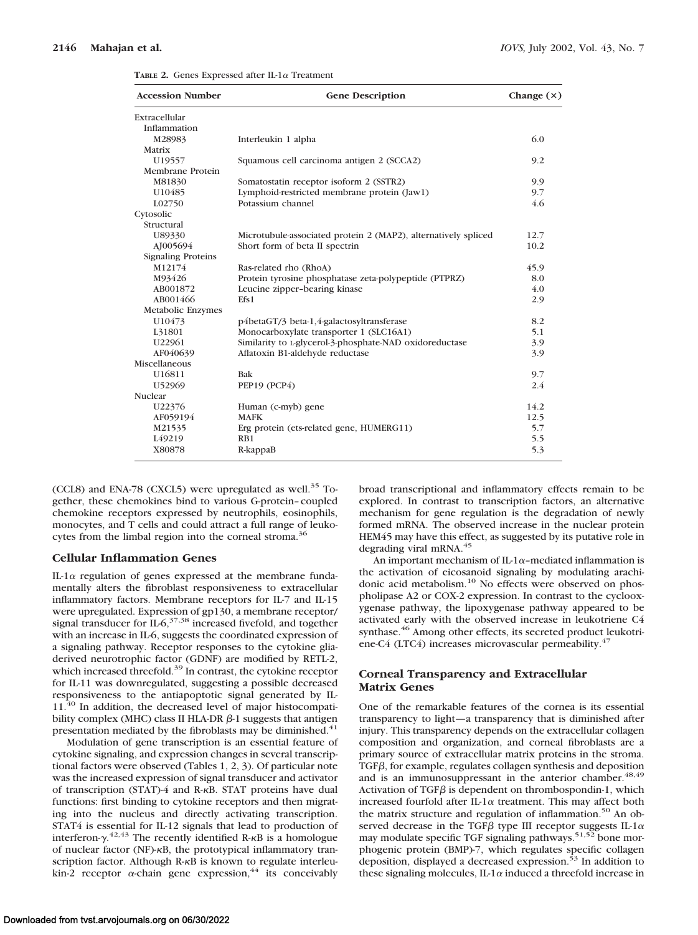| <b>Accession Number</b>   | <b>Gene Description</b>                                        | Change $(x)$ |  |
|---------------------------|----------------------------------------------------------------|--------------|--|
| Extracellular             |                                                                |              |  |
| Inflammation              |                                                                |              |  |
| M28983                    | Interleukin 1 alpha                                            | 6.0          |  |
| Matrix                    |                                                                |              |  |
| U19557                    | Squamous cell carcinoma antigen 2 (SCCA2)                      | 9.2          |  |
| Membrane Protein          |                                                                |              |  |
| M81830                    | Somatostatin receptor isoform 2 (SSTR2)                        | 9.9          |  |
| U10485                    | Lymphoid-restricted membrane protein (Jaw1)                    | 9.7          |  |
| L02750                    | Potassium channel                                              | 4.6          |  |
| Cytosolic                 |                                                                |              |  |
| Structural                |                                                                |              |  |
| U89330                    | Microtubule-associated protein 2 (MAP2), alternatively spliced | 12.7         |  |
| AJ005694                  | Short form of beta II spectrin                                 | 10.2         |  |
| <b>Signaling Proteins</b> |                                                                |              |  |
| M12174                    | Ras-related rho (RhoA)                                         | 45.9         |  |
| M93426                    | Protein tyrosine phosphatase zeta-polypeptide (PTPRZ)          | 8.0          |  |
| AB001872                  | Leucine zipper-bearing kinase                                  | 4.0          |  |
| AB001466                  | Efs1                                                           | 2.9          |  |
| Metabolic Enzymes         |                                                                |              |  |
| U10473                    | p4betaGT/3 beta-1,4-galactosyltransferase                      | 8.2          |  |
| L31801                    | Monocarboxylate transporter 1 (SLC16A1)                        | 5.1          |  |
| U22961                    | Similarity to L-glycerol-3-phosphate-NAD oxidoreductase        | 3.9          |  |
| AF040639                  | Aflatoxin B1-aldehyde reductase                                | 3.9          |  |
| Miscellaneous             |                                                                |              |  |
| U16811                    | Bak                                                            | 9.7          |  |
| U52969                    | PEP19 (PCP4)                                                   | 2.4          |  |
| Nuclear                   |                                                                |              |  |
| U22376                    | Human (c-myb) gene                                             | 14.2         |  |
| AF059194                  | <b>MAFK</b>                                                    | 12.5         |  |
| M21535                    | Erg protein (ets-related gene, HUMERG11)                       | 5.7          |  |
| L <sub>49219</sub>        | RB1                                                            | 5.5          |  |
| X80878                    | R-kappaB                                                       | 5.3          |  |
|                           |                                                                |              |  |

**TABLE 2.** Genes Expressed after IL-1 $\alpha$  Treatment

(CCL8) and ENA-78 (CXCL5) were upregulated as well.<sup>35</sup> Together, these chemokines bind to various G-protein–coupled chemokine receptors expressed by neutrophils, eosinophils, monocytes, and T cells and could attract a full range of leukocytes from the limbal region into the corneal stroma.<sup>36</sup>

#### **Cellular Inflammation Genes**

IL-1 $\alpha$  regulation of genes expressed at the membrane fundamentally alters the fibroblast responsiveness to extracellular inflammatory factors. Membrane receptors for IL-7 and IL-15 were upregulated. Expression of gp130, a membrane receptor/ signal transducer for  $IL-6$ ,<sup>37,38</sup> increased fivefold, and together with an increase in IL-6, suggests the coordinated expression of a signaling pathway. Receptor responses to the cytokine gliaderived neurotrophic factor (GDNF) are modified by RETL-2, which increased threefold.<sup>39</sup> In contrast, the cytokine receptor for IL-11 was downregulated, suggesting a possible decreased responsiveness to the antiapoptotic signal generated by IL-11.<sup>40</sup> In addition, the decreased level of major histocompatibility complex (MHC) class II HLA-DR  $\beta$ -1 suggests that antigen presentation mediated by the fibroblasts may be diminished.<sup>41</sup>

Modulation of gene transcription is an essential feature of cytokine signaling, and expression changes in several transcriptional factors were observed (Tables 1, 2, 3). Of particular note was the increased expression of signal transducer and activator of transcription (STAT)-4 and R-KB. STAT proteins have dual functions: first binding to cytokine receptors and then migrating into the nucleus and directly activating transcription. STAT4 is essential for IL-12 signals that lead to production of interferon- $\gamma$ <sup>42,43</sup> The recently identified R- $\kappa$ B is a homologue of nuclear factor (NF)- $\kappa$ B, the prototypical inflammatory transcription factor. Although R-KB is known to regulate interleukin-2 receptor  $\alpha$ -chain gene expression,<sup>44</sup> its conceivably

broad transcriptional and inflammatory effects remain to be explored. In contrast to transcription factors, an alternative mechanism for gene regulation is the degradation of newly formed mRNA. The observed increase in the nuclear protein HEM45 may have this effect, as suggested by its putative role in degrading viral mRNA.45

An important mechanism of IL-1 $\alpha$ -mediated inflammation is the activation of eicosanoid signaling by modulating arachidonic acid metabolism.<sup>10</sup> No effects were observed on phospholipase A2 or COX-2 expression. In contrast to the cyclooxygenase pathway, the lipoxygenase pathway appeared to be activated early with the observed increase in leukotriene C4 synthase.<sup>46</sup> Among other effects, its secreted product leukotriene-C4 (LTC4) increases microvascular permeability.<sup>47</sup>

### **Corneal Transparency and Extracellular Matrix Genes**

One of the remarkable features of the cornea is its essential transparency to light—a transparency that is diminished after injury. This transparency depends on the extracellular collagen composition and organization, and corneal fibroblasts are a primary source of extracellular matrix proteins in the stroma.  $TGF\beta$ , for example, regulates collagen synthesis and deposition and is an immunosuppressant in the anterior chamber.<sup>48,49</sup> Activation of TGF $\beta$  is dependent on thrombospondin-1, which increased fourfold after IL-1 $\alpha$  treatment. This may affect both the matrix structure and regulation of inflammation.<sup>50</sup> An observed decrease in the TGFB type III receptor suggests IL-1 $\alpha$ may modulate specific TGF signaling pathways.<sup>51,52</sup> bone morphogenic protein (BMP)-7, which regulates specific collagen deposition, displayed a decreased expression.<sup>53</sup> In addition to these signaling molecules, IL-1 $\alpha$  induced a threefold increase in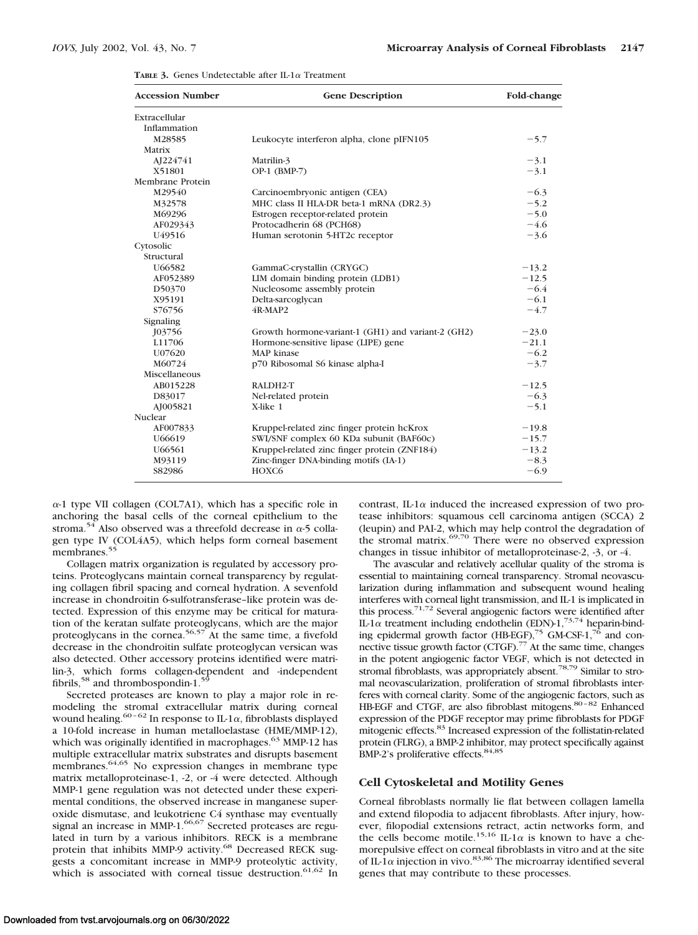| <b>Accession Number</b> | <b>Gene Description</b>                            | Fold-change |  |
|-------------------------|----------------------------------------------------|-------------|--|
| Extracellular           |                                                    |             |  |
| Inflammation            |                                                    |             |  |
| M28585                  | Leukocyte interferon alpha, clone pIFN105          | $-5.7$      |  |
| Matrix                  |                                                    |             |  |
| AJ224741                | Matrilin-3                                         | $-3.1$      |  |
| X51801                  | OP-1 (BMP-7)                                       | $-3.1$      |  |
| Membrane Protein        |                                                    |             |  |
| M29540                  | Carcinoembryonic antigen (CEA)                     | $-6.3$      |  |
| M32578                  | MHC class II HLA-DR beta-1 mRNA (DR2.3)            | $-5.2$      |  |
| M69296                  | Estrogen receptor-related protein                  | $-5.0$      |  |
| AF029343                | Protocadherin 68 (PCH68)                           | $-4.6$      |  |
| U49516                  | Human serotonin 5-HT2c receptor                    | $-3.6$      |  |
| Cytosolic               |                                                    |             |  |
| Structural              |                                                    |             |  |
| U66582                  | GammaC-crystallin (CRYGC)                          | $-13.2$     |  |
| AF052389                | LIM domain binding protein (LDB1)                  | $-12.5$     |  |
| D50370                  | Nucleosome assembly protein                        | $-6.4$      |  |
| X95191                  | Delta-sarcoglycan                                  | $-6.1$      |  |
| S76756                  | 4R-MAP2                                            | $-4.7$      |  |
| Signaling               |                                                    |             |  |
| <b>J03756</b>           | Growth hormone-variant-1 (GH1) and variant-2 (GH2) | $-23.0$     |  |
| L11706                  | Hormone-sensitive lipase (LIPE) gene               | $-21.1$     |  |
| U07620                  | MAP kinase                                         | $-6.2$      |  |
| M60724                  | p70 Ribosomal S6 kinase alpha-I                    | $-3.7$      |  |
| Miscellaneous           |                                                    |             |  |
| AB015228                | RALDH2-T                                           | $-12.5$     |  |
| D83017                  | Nel-related protein                                | $-6.3$      |  |
| AJ005821                | X-like 1                                           | $-5.1$      |  |
| Nuclear                 |                                                    |             |  |
| AF007833                | Kruppel-related zinc finger protein hcKrox         | $-19.8$     |  |
| U66619                  | SWI/SNF complex 60 KDa subunit (BAF60c)            | $-15.7$     |  |
| U66561                  | Kruppel-related zinc finger protein (ZNF184)       | $-13.2$     |  |
| M93119                  | Zinc-finger DNA-binding motifs (IA-1)              | $-8.3$      |  |
| S82986                  | HOXC6                                              | $-6.9$      |  |
|                         |                                                    |             |  |

**TABLE** 3. Genes Undetectable after IL-1 $\alpha$  Treatment

 $\alpha$ -1 type VII collagen (COL7A1), which has a specific role in anchoring the basal cells of the corneal epithelium to the stroma.<sup>54</sup> Also observed was a threefold decrease in  $\alpha$ -5 collagen type IV (COL4A5), which helps form corneal basement membranes.<sup>55</sup>

Collagen matrix organization is regulated by accessory proteins. Proteoglycans maintain corneal transparency by regulating collagen fibril spacing and corneal hydration. A sevenfold increase in chondroitin 6-sulfotransferase–like protein was detected. Expression of this enzyme may be critical for maturation of the keratan sulfate proteoglycans, which are the major proteoglycans in the cornea.<sup>56,57</sup> At the same time, a fivefold decrease in the chondroitin sulfate proteoglycan versican was also detected. Other accessory proteins identified were matrilin-3, which forms collagen-dependent and -independent fibrils,<sup>58</sup> and thrombospondin-1.<sup>59</sup>

Secreted proteases are known to play a major role in remodeling the stromal extracellular matrix during corneal wound healing.<sup>60-62</sup> In response to IL-1 $\alpha$ , fibroblasts displayed a 10-fold increase in human metalloelastase (HME/MMP-12), which was originally identified in macrophages.<sup>63</sup> MMP-12 has multiple extracellular matrix substrates and disrupts basement membranes.<sup>64,65</sup> No expression changes in membrane type matrix metalloproteinase-1, -2, or -4 were detected. Although MMP-1 gene regulation was not detected under these experimental conditions, the observed increase in manganese superoxide dismutase, and leukotriene C4 synthase may eventually signal an increase in MMP-1.<sup>66,67</sup> Secreted proteases are regulated in turn by a various inhibitors. RECK is a membrane protein that inhibits MMP-9 activity.<sup>68</sup> Decreased RECK suggests a concomitant increase in MMP-9 proteolytic activity, which is associated with corneal tissue destruction.<sup>61,62</sup> In contrast, IL-1 $\alpha$  induced the increased expression of two protease inhibitors: squamous cell carcinoma antigen (SCCA) 2 (leupin) and PAI-2, which may help control the degradation of the stromal matrix.69,70 There were no observed expression changes in tissue inhibitor of metalloproteinase-2, -3, or -4.

The avascular and relatively acellular quality of the stroma is essential to maintaining corneal transparency. Stromal neovascularization during inflammation and subsequent wound healing interferes with corneal light transmission, and IL-1 is implicated in this process.71,72 Several angiogenic factors were identified after IL-1 $\alpha$  treatment including endothelin (EDN)-1,<sup>73,74</sup> heparin-binding epidermal growth factor  $(HBEGF),^{75}$  GM-CSF-1,<sup>76</sup> and connective tissue growth factor (CTGF).<sup>77</sup> At the same time, changes in the potent angiogenic factor VEGF, which is not detected in stromal fibroblasts, was appropriately absent.<sup>78,79</sup> Similar to stromal neovascularization, proliferation of stromal fibroblasts interferes with corneal clarity. Some of the angiogenic factors, such as HB-EGF and CTGF, are also fibroblast mitogens.<sup>80-82</sup> Enhanced expression of the PDGF receptor may prime fibroblasts for PDGF mitogenic effects.83 Increased expression of the follistatin-related protein (FLRG), a BMP-2 inhibitor, may protect specifically against BMP-2's proliferative effects.<sup>84,85</sup>

## **Cell Cytoskeletal and Motility Genes**

Corneal fibroblasts normally lie flat between collagen lamella and extend filopodia to adjacent fibroblasts. After injury, however, filopodial extensions retract, actin networks form, and the cells become motile.<sup>15,16</sup> IL-1 $\alpha$  is known to have a chemorepulsive effect on corneal fibroblasts in vitro and at the site of IL-1 $\alpha$  injection in vivo.<sup>83,86</sup> The microarray identified several genes that may contribute to these processes.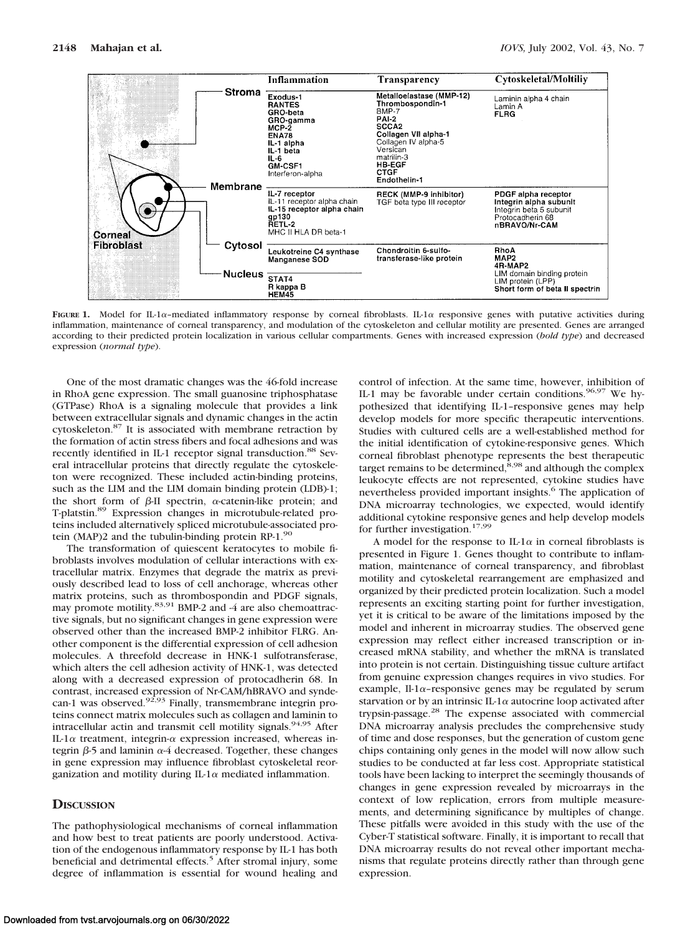

FIGURE 1. Model for IL-1 $\alpha$ -mediated inflammatory response by corneal fibroblasts. IL-1 $\alpha$  responsive genes with putative activities during inflammation, maintenance of corneal transparency, and modulation of the cytoskeleton and cellular motility are presented. Genes are arranged according to their predicted protein localization in various cellular compartments. Genes with increased expression (*bold type*) and decreased expression (*normal type*).

One of the most dramatic changes was the 46-fold increase in RhoA gene expression. The small guanosine triphosphatase (GTPase) RhoA is a signaling molecule that provides a link between extracellular signals and dynamic changes in the actin cytoskeleton.87 It is associated with membrane retraction by the formation of actin stress fibers and focal adhesions and was recently identified in IL-1 receptor signal transduction.<sup>88</sup> Several intracellular proteins that directly regulate the cytoskeleton were recognized. These included actin-binding proteins, such as the LIM and the LIM domain binding protein (LDB)-1; the short form of  $\beta$ -II spectrin,  $\alpha$ -catenin-like protein; and T-platstin.89 Expression changes in microtubule-related proteins included alternatively spliced microtubule-associated protein (MAP)2 and the tubulin-binding protein RP-1.<sup>90</sup>

The transformation of quiescent keratocytes to mobile fibroblasts involves modulation of cellular interactions with extracellular matrix. Enzymes that degrade the matrix as previously described lead to loss of cell anchorage, whereas other matrix proteins, such as thrombospondin and PDGF signals, matrix proteins, such as different and the straighter,<br>may promote motility.<sup>83,91</sup> BMP-2 and -4 are also chemoattractive signals, but no significant changes in gene expression were observed other than the increased BMP-2 inhibitor FLRG. Another component is the differential expression of cell adhesion molecules. A threefold decrease in HNK-1 sulfotransferase, which alters the cell adhesion activity of HNK-1, was detected along with a decreased expression of protocadherin 68. In contrast, increased expression of Nr-CAM/hBRAVO and synde-<br>can-1 was observed.<sup>92,93</sup> Finally, transmembrane integrin proteins connect matrix molecules such as collagen and laminin to intracellular actin and transmit cell motility signals.<sup>94,95</sup> After IL-1 $\alpha$  treatment, integrin- $\alpha$  expression increased, whereas integrin  $\beta$ -5 and laminin  $\alpha$ -4 decreased. Together, these changes in gene expression may influence fibroblast cytoskeletal reorganization and motility during IL-1 $\alpha$  mediated inflammation.

#### **DISCUSSION**

The pathophysiological mechanisms of corneal inflammation and how best to treat patients are poorly understood. Activation of the endogenous inflammatory response by IL-1 has both beneficial and detrimental effects.<sup>5</sup> After stromal injury, some degree of inflammation is essential for wound healing and

control of infection. At the same time, however, inhibition of IL-1 may be favorable under certain conditions.<sup>96,97</sup> We hypothesized that identifying IL-1–responsive genes may help develop models for more specific therapeutic interventions. Studies with cultured cells are a well-established method for the initial identification of cytokine-responsive genes. Which corneal fibroblast phenotype represents the best therapeutic target remains to be determined, $\overline{8,98}$  and although the complex leukocyte effects are not represented, cytokine studies have nevertheless provided important insights.<sup>6</sup> The application of DNA microarray technologies, we expected, would identify additional cytokine responsive genes and help develop models for further investigation.<sup>17,99</sup>

A model for the response to IL-1 $\alpha$  in corneal fibroblasts is presented in Figure 1. Genes thought to contribute to inflammation, maintenance of corneal transparency, and fibroblast motility and cytoskeletal rearrangement are emphasized and organized by their predicted protein localization. Such a model represents an exciting starting point for further investigation, yet it is critical to be aware of the limitations imposed by the model and inherent in microarray studies. The observed gene expression may reflect either increased transcription or increased mRNA stability, and whether the mRNA is translated into protein is not certain. Distinguishing tissue culture artifact from genuine expression changes requires in vivo studies. For example, Il-1 $\alpha$ -responsive genes may be regulated by serum starvation or by an intrinsic IL-1 $\alpha$  autocrine loop activated after trypsin-passage.28 The expense associated with commercial DNA microarray analysis precludes the comprehensive study of time and dose responses, but the generation of custom gene chips containing only genes in the model will now allow such studies to be conducted at far less cost. Appropriate statistical tools have been lacking to interpret the seemingly thousands of changes in gene expression revealed by microarrays in the context of low replication, errors from multiple measurements, and determining significance by multiples of change. These pitfalls were avoided in this study with the use of the Cyber-T statistical software. Finally, it is important to recall that DNA microarray results do not reveal other important mechanisms that regulate proteins directly rather than through gene expression.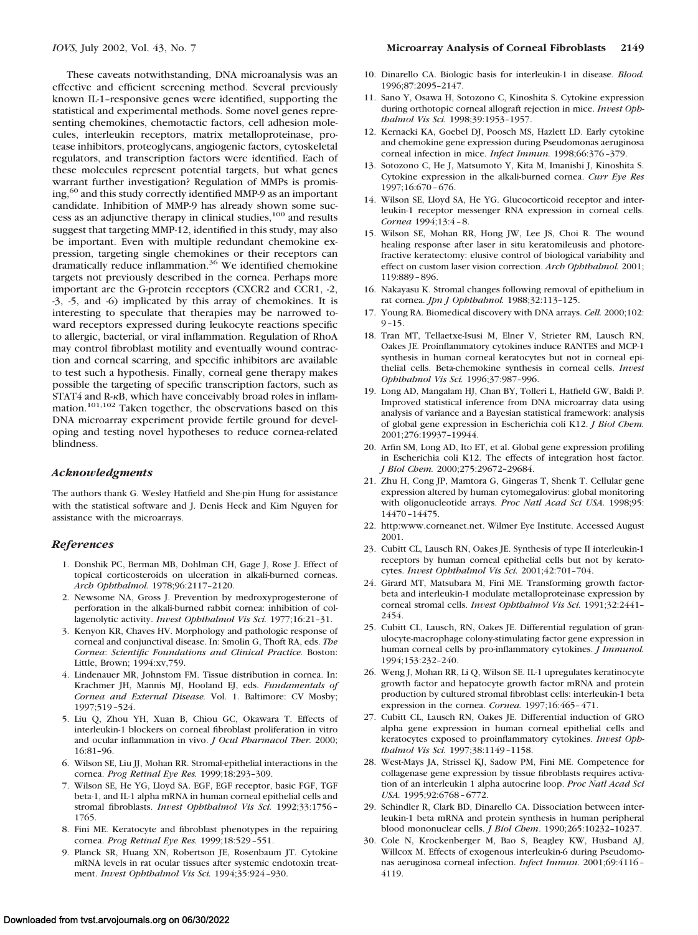These caveats notwithstanding, DNA microanalysis was an effective and efficient screening method. Several previously known IL-1–responsive genes were identified, supporting the statistical and experimental methods. Some novel genes representing chemokines, chemotactic factors, cell adhesion molecules, interleukin receptors, matrix metalloproteinase, protease inhibitors, proteoglycans, angiogenic factors, cytoskeletal regulators, and transcription factors were identified. Each of these molecules represent potential targets, but what genes warrant further investigation? Regulation of MMPs is promising,<sup>60</sup> and this study correctly identified MMP-9 as an important candidate. Inhibition of MMP-9 has already shown some success as an adjunctive therapy in clinical studies,100 and results suggest that targeting MMP-12, identified in this study, may also be important. Even with multiple redundant chemokine expression, targeting single chemokines or their receptors can dramatically reduce inflammation.<sup>36</sup> We identified chemokine targets not previously described in the cornea. Perhaps more important are the G-protein receptors (CXCR2 and CCR1, -2, -3, -5, and -6) implicated by this array of chemokines. It is interesting to speculate that therapies may be narrowed toward receptors expressed during leukocyte reactions specific to allergic, bacterial, or viral inflammation. Regulation of RhoA may control fibroblast motility and eventually wound contraction and corneal scarring, and specific inhibitors are available to test such a hypothesis. Finally, corneal gene therapy makes possible the targeting of specific transcription factors, such as  $STAT4$  and R- $\kappa$ B, which have conceivably broad roles in inflammation.101,102 Taken together, the observations based on this DNA microarray experiment provide fertile ground for developing and testing novel hypotheses to reduce cornea-related blindness.

#### *Acknowledgments*

The authors thank G. Wesley Hatfield and She-pin Hung for assistance with the statistical software and J. Denis Heck and Kim Nguyen for assistance with the microarrays.

#### *References*

- 1. Donshik PC, Berman MB, Dohlman CH, Gage J, Rose J. Effect of topical corticosteroids on ulceration in alkali-burned corneas. *Arch Ophthalmol.* 1978;96:2117–2120.
- 2. Newsome NA, Gross J. Prevention by medroxyprogesterone of perforation in the alkali-burned rabbit cornea: inhibition of collagenolytic activity. *Invest Ophthalmol Vis Sci.* 1977;16:21–31.
- 3. Kenyon KR, Chaves HV. Morphology and pathologic response of corneal and conjunctival disease. In: Smolin G, Thoft RA, eds. *The Cornea*: *Scientific Foundations and Clinical Practice.* Boston: Little, Brown; 1994:xv,759.
- 4. Lindenauer MR, Johnstom FM. Tissue distribution in cornea. In: Krachmer JH, Mannis MJ, Hooland EJ, eds. *Fundamentals of Cornea and External Disease.* Vol. 1. Baltimore: CV Mosby; 1997;519–524.
- 5. Liu Q, Zhou YH, Xuan B, Chiou GC, Okawara T. Effects of interleukin-1 blockers on corneal fibroblast proliferation in vitro and ocular inflammation in vivo. *J Ocul Pharmacol Ther.* 2000; 16:81–96.
- 6. Wilson SE, Liu JJ, Mohan RR. Stromal-epithelial interactions in the cornea. *Prog Retinal Eye Res.* 1999;18:293–309.
- 7. Wilson SE, He YG, Lloyd SA. EGF, EGF receptor, basic FGF, TGF beta-1, and IL-1 alpha mRNA in human corneal epithelial cells and stromal fibroblasts. *Invest Ophthalmol Vis Sci.* 1992;33:1756– 1765.
- 8. Fini ME. Keratocyte and fibroblast phenotypes in the repairing cornea. *Prog Retinal Eye Res.* 1999;18:529–551.
- 9. Planck SR, Huang XN, Robertson JE, Rosenbaum JT. Cytokine mRNA levels in rat ocular tissues after systemic endotoxin treatment. *Invest Ophthalmol Vis Sci.* 1994;35:924–930.
- 10. Dinarello CA. Biologic basis for interleukin-1 in disease. *Blood.* 1996;87:2095–2147.
- 11. Sano Y, Osawa H, Sotozono C, Kinoshita S. Cytokine expression during orthotopic corneal allograft rejection in mice. *Invest Ophthalmol Vis Sci.* 1998;39:1953–1957.
- 12. Kernacki KA, Goebel DJ, Poosch MS, Hazlett LD. Early cytokine and chemokine gene expression during Pseudomonas aeruginosa corneal infection in mice. *Infect Immun.* 1998;66:376–379.
- 13. Sotozono C, He J, Matsumoto Y, Kita M, Imanishi J, Kinoshita S. Cytokine expression in the alkali-burned cornea. *Curr Eye Res* 1997;16:670–676.
- 14. Wilson SE, Lloyd SA, He YG. Glucocorticoid receptor and interleukin-1 receptor messenger RNA expression in corneal cells. *Cornea* 1994;13:4–8.
- 15. Wilson SE, Mohan RR, Hong JW, Lee JS, Choi R. The wound healing response after laser in situ keratomileusis and photorefractive keratectomy: elusive control of biological variability and effect on custom laser vision correction. *Arch Ophthalmol.* 2001; 119:889–896.
- 16. Nakayasu K. Stromal changes following removal of epithelium in rat cornea. *Jpn J Ophthalmol.* 1988;32:113–125.
- 17. Young RA. Biomedical discovery with DNA arrays. *Cell.* 2000;102: 9–15.
- 18. Tran MT, Tellaetxe-Isusi M, Elner V, Strieter RM, Lausch RN, Oakes JE. Proinflammatory cytokines induce RANTES and MCP-1 synthesis in human corneal keratocytes but not in corneal epithelial cells. Beta-chemokine synthesis in corneal cells. *Invest Ophthalmol Vis Sci.* 1996;37:987–996.
- 19. Long AD, Mangalam HJ, Chan BY, Tolleri L, Hatfield GW, Baldi P. Improved statistical inference from DNA microarray data using analysis of variance and a Bayesian statistical framework: analysis of global gene expression in Escherichia coli K12. *J Biol Chem.* 2001;276:19937–19944.
- 20. Arfin SM, Long AD, Ito ET, et al. Global gene expression profiling in Escherichia coli K12. The effects of integration host factor. *J Biol Chem.* 2000;275:29672–29684.
- 21. Zhu H, Cong JP, Mamtora G, Gingeras T, Shenk T. Cellular gene expression altered by human cytomegalovirus: global monitoring with oligonucleotide arrays. *Proc Natl Acad Sci USA.* 1998;95: 14470–14475.
- 22. http:www.corneanet.net. Wilmer Eye Institute. Accessed August 2001.
- 23. Cubitt CL, Lausch RN, Oakes JE. Synthesis of type II interleukin-1 receptors by human corneal epithelial cells but not by keratocytes. *Invest Ophthalmol Vis Sci.* 2001;42:701–704.
- 24. Girard MT, Matsubara M, Fini ME. Transforming growth factorbeta and interleukin-1 modulate metalloproteinase expression by corneal stromal cells. *Invest Ophthalmol Vis Sci.* 1991;32:2441– 2454.
- 25. Cubitt CL, Lausch, RN, Oakes JE. Differential regulation of granulocyte-macrophage colony-stimulating factor gene expression in human corneal cells by pro-inflammatory cytokines. *J Immunol.* 1994;153:232–240.
- 26. Weng J, Mohan RR, Li Q, Wilson SE. IL-1 upregulates keratinocyte growth factor and hepatocyte growth factor mRNA and protein production by cultured stromal fibroblast cells: interleukin-1 beta expression in the cornea. *Cornea.* 1997;16:465–471.
- 27. Cubitt CL, Lausch RN, Oakes JE. Differential induction of GRO alpha gene expression in human corneal epithelial cells and keratocytes exposed to proinflammatory cytokines. *Invest Ophthalmol Vis Sci.* 1997;38:1149–1158.
- 28. West-Mays JA, Strissel KJ, Sadow PM, Fini ME. Competence for collagenase gene expression by tissue fibroblasts requires activation of an interleukin 1 alpha autocrine loop. *Proc Natl Acad Sci USA.* 1995;92:6768–6772.
- 29. Schindler R, Clark BD, Dinarello CA. Dissociation between interleukin-1 beta mRNA and protein synthesis in human peripheral blood mononuclear cells. *J Biol Chem*. 1990;265:10232–10237.
- 30. Cole N, Krockenberger M, Bao S, Beagley KW, Husband AJ, Willcox M. Effects of exogenous interleukin-6 during Pseudomonas aeruginosa corneal infection. *Infect Immun.* 2001;69:4116– 4119.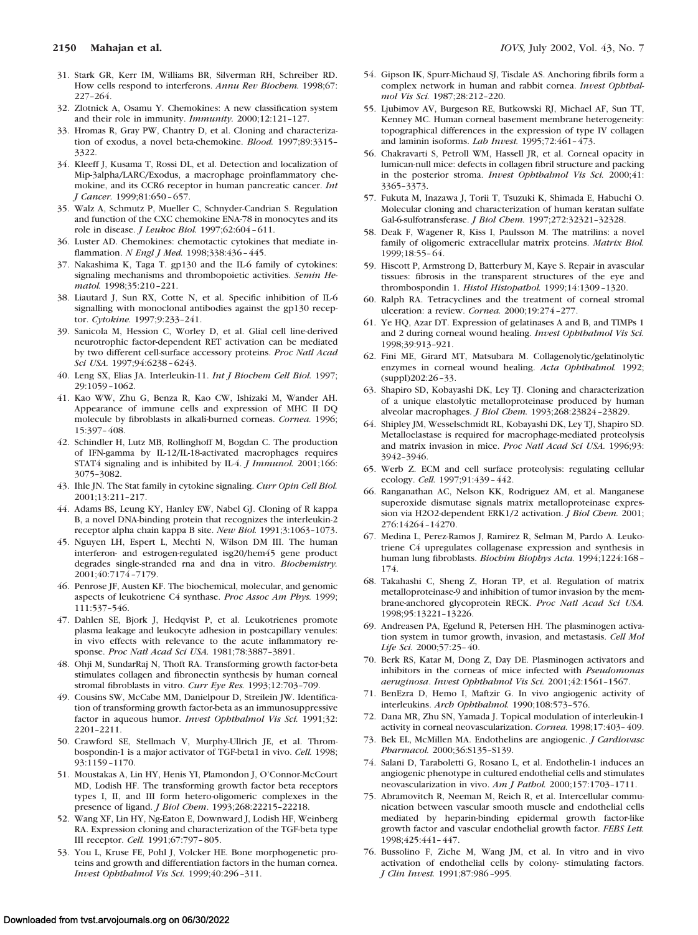- 31. Stark GR, Kerr IM, Williams BR, Silverman RH, Schreiber RD. How cells respond to interferons. *Annu Rev Biochem.* 1998;67: 227–264.
- 32. Zlotnick A, Osamu Y. Chemokines: A new classification system and their role in immunity. *Immunity.* 2000;12:121–127.
- 33. Hromas R, Gray PW, Chantry D, et al. Cloning and characterization of exodus, a novel beta-chemokine. *Blood.* 1997;89:3315– 3322.
- 34. Kleeff J, Kusama T, Rossi DL, et al. Detection and localization of Mip-3alpha/LARC/Exodus, a macrophage proinflammatory chemokine, and its CCR6 receptor in human pancreatic cancer. *Int J Cancer.* 1999;81:650–657.
- 35. Walz A, Schmutz P, Mueller C, Schnyder-Candrian S. Regulation and function of the CXC chemokine ENA-78 in monocytes and its role in disease. *J Leukoc Biol.* 1997;62:604–611.
- 36. Luster AD. Chemokines: chemotactic cytokines that mediate inflammation. *N Engl J Med.* 1998;338:436–445.
- 37. Nakashima K, Taga T. gp130 and the IL-6 family of cytokines: signaling mechanisms and thrombopoietic activities. *Semin Hematol.* 1998;35:210–221.
- 38. Liautard J, Sun RX, Cotte N, et al. Specific inhibition of IL-6 signalling with monoclonal antibodies against the gp130 receptor. *Cytokine.* 1997;9:233–241.
- 39. Sanicola M, Hession C, Worley D, et al. Glial cell line-derived neurotrophic factor-dependent RET activation can be mediated by two different cell-surface accessory proteins. *Proc Natl Acad Sci USA.* 1997;94:6238–6243.
- 40. Leng SX, Elias JA. Interleukin-11. *Int J Biochem Cell Biol.* 1997; 29:1059–1062.
- 41. Kao WW, Zhu G, Benza R, Kao CW, Ishizaki M, Wander AH. Appearance of immune cells and expression of MHC II DQ molecule by fibroblasts in alkali-burned corneas. *Cornea.* 1996; 15:397–408.
- 42. Schindler H, Lutz MB, Rollinghoff M, Bogdan C. The production of IFN-gamma by IL-12/IL-18-activated macrophages requires STAT4 signaling and is inhibited by IL-4. *J Immunol.* 2001;166: 3075–3082.
- 43. Ihle JN. The Stat family in cytokine signaling. *Curr Opin Cell Biol.* 2001;13:211–217.
- 44. Adams BS, Leung KY, Hanley EW, Nabel GJ. Cloning of R kappa B, a novel DNA-binding protein that recognizes the interleukin-2 receptor alpha chain kappa B site. *New Biol.* 1991;3:1063–1073.
- 45. Nguyen LH, Espert L, Mechti N, Wilson DM III. The human interferon- and estrogen-regulated isg20/hem45 gene product degrades single-stranded rna and dna in vitro. *Biochemistry.* 2001;40:7174–7179.
- 46. Penrose JF, Austen KF. The biochemical, molecular, and genomic aspects of leukotriene C4 synthase. *Proc Assoc Am Phys.* 1999; 111:537–546.
- 47. Dahlen SE, Bjork J, Hedqvist P, et al. Leukotrienes promote plasma leakage and leukocyte adhesion in postcapillary venules: in vivo effects with relevance to the acute inflammatory response. *Proc Natl Acad Sci USA.* 1981;78:3887–3891.
- 48. Ohji M, SundarRaj N, Thoft RA. Transforming growth factor-beta stimulates collagen and fibronectin synthesis by human corneal stromal fibroblasts in vitro. *Curr Eye Res.* 1993;12:703–709.
- 49. Cousins SW, McCabe MM, Danielpour D, Streilein JW. Identification of transforming growth factor-beta as an immunosuppressive factor in aqueous humor. *Invest Ophthalmol Vis Sci.* 1991;32: 2201–2211.
- 50. Crawford SE, Stellmach V, Murphy-Ullrich JE, et al. Thrombospondin-1 is a major activator of TGF-beta1 in vivo. *Cell.* 1998; 93:1159–1170.
- 51. Moustakas A, Lin HY, Henis YI, Plamondon J, O'Connor-McCourt MD, Lodish HF. The transforming growth factor beta receptors types I, II, and III form hetero-oligomeric complexes in the presence of ligand. *J Biol Chem*. 1993;268:22215–22218.
- 52. Wang XF, Lin HY, Ng-Eaton E, Downward J, Lodish HF, Weinberg RA. Expression cloning and characterization of the TGF-beta type III receptor. *Cell.* 1991;67:797–805.
- 53. You L, Kruse FE, Pohl J, Volcker HE. Bone morphogenetic proteins and growth and differentiation factors in the human cornea. *Invest Ophthalmol Vis Sci.* 1999;40:296–311.
- 54. Gipson IK, Spurr-Michaud SJ, Tisdale AS. Anchoring fibrils form a complex network in human and rabbit cornea. *Invest Ophthalmol Vis Sci.* 1987;28:212–220.
- 55. Ljubimov AV, Burgeson RE, Butkowski RJ, Michael AF, Sun TT, Kenney MC. Human corneal basement membrane heterogeneity: topographical differences in the expression of type IV collagen and laminin isoforms. *Lab Invest.* 1995;72:461–473.
- 56. Chakravarti S, Petroll WM, Hassell JR, et al. Corneal opacity in lumican-null mice: defects in collagen fibril structure and packing in the posterior stroma. *Invest Ophthalmol Vis Sci.* 2000;41: 3365–3373.
- 57. Fukuta M, Inazawa J, Torii T, Tsuzuki K, Shimada E, Habuchi O. Molecular cloning and characterization of human keratan sulfate Gal-6-sulfotransferase. *J Biol Chem.* 1997;272:32321–32328.
- 58. Deak F, Wagener R, Kiss I, Paulsson M. The matrilins: a novel family of oligomeric extracellular matrix proteins. *Matrix Biol.* 1999;18:55–64.
- 59. Hiscott P, Armstrong D, Batterbury M, Kaye S. Repair in avascular tissues: fibrosis in the transparent structures of the eye and thrombospondin 1. *Histol Histopathol.* 1999;14:1309–1320.
- 60. Ralph RA. Tetracyclines and the treatment of corneal stromal ulceration: a review. *Cornea.* 2000;19:274–277.
- 61. Ye HQ, Azar DT. Expression of gelatinases A and B, and TIMPs 1 and 2 during corneal wound healing. *Invest Ophthalmol Vis Sci.* 1998;39:913–921.
- 62. Fini ME, Girard MT, Matsubara M. Collagenolytic/gelatinolytic enzymes in corneal wound healing. *Acta Ophthalmol.* 1992; (suppl)202:26–33.
- 63. Shapiro SD, Kobayashi DK, Ley TJ. Cloning and characterization of a unique elastolytic metalloproteinase produced by human alveolar macrophages. *J Biol Chem.* 1993;268:23824–23829.
- 64. Shipley JM, Wesselschmidt RL, Kobayashi DK, Ley TJ, Shapiro SD. Metalloelastase is required for macrophage-mediated proteolysis and matrix invasion in mice. *Proc Natl Acad Sci USA.* 1996;93: 3942–3946.
- 65. Werb Z. ECM and cell surface proteolysis: regulating cellular ecology. *Cell.* 1997;91:439–442.
- 66. Ranganathan AC, Nelson KK, Rodriguez AM, et al. Manganese superoxide dismutase signals matrix metalloproteinase expression via H2O2-dependent ERK1/2 activation. *J Biol Chem.* 2001; 276:14264–14270.
- 67. Medina L, Perez-Ramos J, Ramirez R, Selman M, Pardo A. Leukotriene C4 upregulates collagenase expression and synthesis in human lung fibroblasts. *Biochim Biophys Acta.* 1994;1224:168– 174.
- 68. Takahashi C, Sheng Z, Horan TP, et al. Regulation of matrix metalloproteinase-9 and inhibition of tumor invasion by the membrane-anchored glycoprotein RECK. *Proc Natl Acad Sci USA.* 1998;95:13221–13226.
- 69. Andreasen PA, Egelund R, Petersen HH. The plasminogen activation system in tumor growth, invasion, and metastasis. *Cell Mol Life Sci.* 2000;57:25–40.
- 70. Berk RS, Katar M, Dong Z, Day DE. Plasminogen activators and inhibitors in the corneas of mice infected with *Pseudomonas aeruginosa*. *Invest Ophthalmol Vis Sci.* 2001;42:1561–1567.
- 71. BenEzra D, Hemo I, Maftzir G. In vivo angiogenic activity of interleukins. *Arch Ophthalmol.* 1990;108:573–576.
- 72. Dana MR, Zhu SN, Yamada J. Topical modulation of interleukin-1 activity in corneal neovascularization. *Cornea.* 1998;17:403–409.
- 73. Bek EL, McMillen MA. Endothelins are angiogenic. *J Cardiovasc Pharmacol.* 2000;36:S135–S139.
- 74. Salani D, Taraboletti G, Rosano L, et al. Endothelin-1 induces an angiogenic phenotype in cultured endothelial cells and stimulates neovascularization in vivo. *Am J Pathol.* 2000;157:1703–1711.
- 75. Abramovitch R, Neeman M, Reich R, et al. Intercellular communication between vascular smooth muscle and endothelial cells mediated by heparin-binding epidermal growth factor-like growth factor and vascular endothelial growth factor. *FEBS Lett.* 1998;425:441–447.
- 76. Bussolino F, Ziche M, Wang JM, et al. In vitro and in vivo activation of endothelial cells by colony- stimulating factors. *J Clin Invest.* 1991;87:986–995.